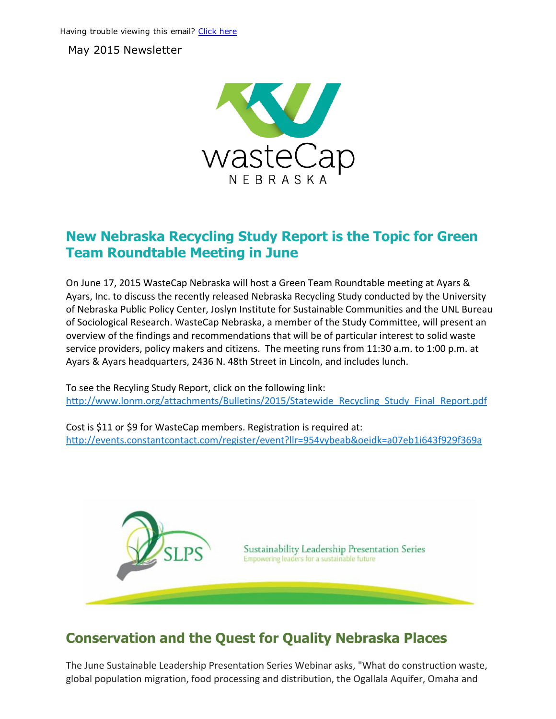May 2015 Newsletter



#### New Nebraska Recycling Study Report is the Topic for Green Team Roundtable Meeting in June

On June 17, 2015 WasteCap Nebraska will host a Green Team Roundtable meeting at Ayars & Ayars, Inc. to discuss the recently released Nebraska Recycling Study conducted by the University of Nebraska Public Policy Center, Joslyn Institute for Sustainable Communities and the UNL Bureau of Sociological Research. WasteCap Nebraska, a member of the Study Committee, will present an overview of the findings and recommendations that will be of particular interest to solid waste service providers, policy makers and citizens. The meeting runs from 11:30 a.m. to 1:00 p.m. at Ayars & Ayars headquarters, 2436 N. 48th Street in Lincoln, and includes lunch.

To see the Recyling Study Report, click on the following link: [http://www.lonm.org/attachments/Bulletins/2015/Statewide\\_Recycling\\_Study\\_Final\\_Report.pdf](http://www.lonm.org/attachments/Bulletins/2015/Statewide_Recycling_Study_Final_Report.pdf)

Cost is \$11 or \$9 for WasteCap members. Registration is required at: <http://events.constantcontact.com/register/event?llr=954vybeab&oeidk=a07eb1i643f929f369a>



# Conservation and the Quest for Quality Nebraska Places

The June Sustainable Leadership Presentation Series Webinar asks, "What do construction waste, global population migration, food processing and distribution, the Ogallala Aquifer, Omaha and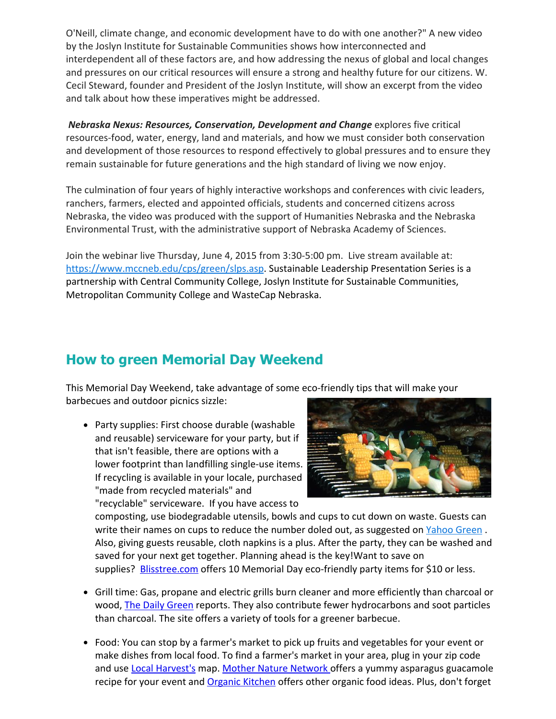O'Neill, climate change, and economic development have to do with one another?" A new video by the Joslyn Institute for Sustainable Communities shows how interconnected and interdependent all of these factors are, and how addressing the nexus of global and local changes and pressures on our critical resources will ensure a strong and healthy future for our citizens. W. Cecil Steward, founder and President of the Joslyn Institute, will show an excerpt from the video and talk about how these imperatives might be addressed.

*Nebraska Nexus: Resources, Conservation, Development and Change* explores five critical resources‐food, water, energy, land and materials, and how we must consider both conservation and development of those resources to respond effectively to global pressures and to ensure they remain sustainable for future generations and the high standard of living we now enjoy.

The culmination of four years of highly interactive workshops and conferences with civic leaders, ranchers, farmers, elected and appointed officials, students and concerned citizens across Nebraska, the video was produced with the support of Humanities Nebraska and the Nebraska Environmental Trust, with the administrative support of Nebraska Academy of Sciences.

Join the webinar live Thursday, June 4, 2015 from 3:30‐5:00 pm. Live stream available at: [https://www.mccneb.edu/cps/green/slps.asp.](https://www.mccneb.edu/cps/green/slps.asp) Sustainable Leadership Presentation Series is a partnership with Central Community College, Joslyn Institute for Sustainable Communities, Metropolitan Community College and WasteCap Nebraska.

# How to green Memorial Day Weekend

This Memorial Day Weekend, take advantage of some eco-friendly tips that will make your barbecues and outdoor picnics sizzle:

• Party supplies: First choose durable (washable and reusable) serviceware for your party, but if that isn't feasible, there are options with a lower footprint than landfilling single‐use items. If recycling is available in your locale, purchased "made from recycled materials" and "recyclable" serviceware. If you have access to



composting, use biodegradable utensils, bowls and cups to cut down on waste. Guests can write their names on cups to reduce the number doled out, as suggested on [Yahoo](https://www.yahoo.com/health/?ref=shine) Green. Also, giving guests reusable, cloth napkins is a plus. After the party, they can be washed and saved for your next get together. Planning ahead is the key!Want to save on supplies? [Blisstree.com](http://blisstree.com/live/eco-friendly-shopping-10-memorial-day-party-supplies-for-10-or-less/) offers 10 Memorial Day eco-friendly party items for \$10 or less.

- Grill time: Gas, propane and electric grills burn cleaner and more efficiently than charcoal or wood, The Daily [Green](http://www.thedailygreen.com/green-homes/latest/green-grilling-bbq-460519) reports. They also contribute fewer hydrocarbons and soot particles than charcoal. The site offers a variety of tools for a greener barbecue.
- Food: You can stop by a farmer's market to pick up fruits and vegetables for your event or make dishes from local food. To find a farmer's market in your area, plug in your zip code and use Local [Harvest's](http://www.localharvest.org/) map. Mother Nature [Network](http://www.mnn.com/food/healthy-eating-recipes/blogs/seasonal-recipe-asparagus-guacamole) offers a yummy asparagus guacamole recipe for your event and **[Organic](http://www.organickitchen.com/cooking/cooking.html) Kitchen** offers other organic food ideas. Plus, don't forget